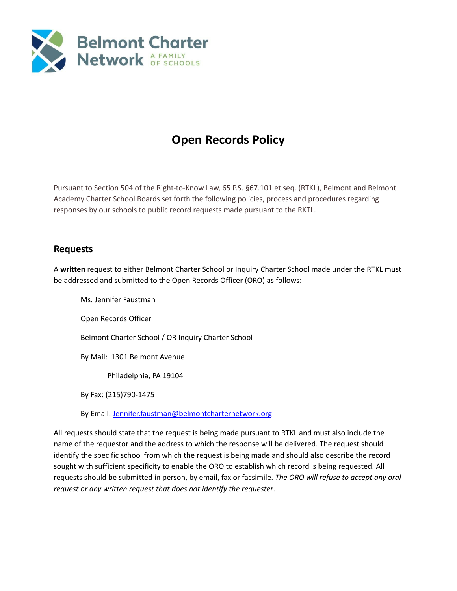

# **Open Records Policy**

Pursuant to Section 504 of the Right-to-Know Law, 65 P.S. §67.101 et seq. (RTKL), Belmont and Belmont Academy Charter School Boards set forth the following policies, process and procedures regarding responses by our schools to public record requests made pursuant to the RKTL.

## **Requests**

A **written** request to either Belmont Charter School or Inquiry Charter School made under the RTKL must be addressed and submitted to the Open Records Officer (ORO) as follows:

Ms. Jennifer Faustman Open Records Officer Belmont Charter School / OR Inquiry Charter School By Mail: 1301 Belmont Avenue Philadelphia, PA 19104 By Fax: (215)790-1475

By Email: [Jennifer.faustman@belmontcharternetwork.org](mailto:Jennifer.faustman@belmontcharternetwork.org)

All requests should state that the request is being made pursuant to RTKL and must also include the name of the requestor and the address to which the response will be delivered. The request should identify the specific school from which the request is being made and should also describe the record sought with sufficient specificity to enable the ORO to establish which record is being requested. All requests should be submitted in person, by email, fax or facsimile. *The ORO will refuse to accept any oral request or any written request that does not identify the requester*.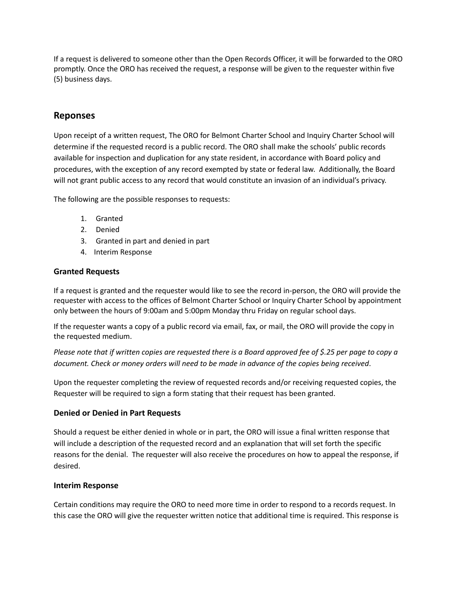If a request is delivered to someone other than the Open Records Officer, it will be forwarded to the ORO promptly. Once the ORO has received the request, a response will be given to the requester within five (5) business days.

### **Reponses**

Upon receipt of a written request, The ORO for Belmont Charter School and Inquiry Charter School will determine if the requested record is a public record. The ORO shall make the schools' public records available for inspection and duplication for any state resident, in accordance with Board policy and procedures, with the exception of any record exempted by state or federal law. Additionally, the Board will not grant public access to any record that would constitute an invasion of an individual's privacy.

The following are the possible responses to requests:

- 1. Granted
- 2. Denied
- 3. Granted in part and denied in part
- 4. Interim Response

#### **Granted Requests**

If a request is granted and the requester would like to see the record in-person, the ORO will provide the requester with access to the offices of Belmont Charter School or Inquiry Charter School by appointment only between the hours of 9:00am and 5:00pm Monday thru Friday on regular school days.

If the requester wants a copy of a public record via email, fax, or mail, the ORO will provide the copy in the requested medium.

Please note that if written copies are requested there is a Board approved fee of \$.25 per page to copy a *document. Check or money orders will need to be made in advance of the copies being received*.

Upon the requester completing the review of requested records and/or receiving requested copies, the Requester will be required to sign a form stating that their request has been granted.

#### **Denied or Denied in Part Requests**

Should a request be either denied in whole or in part, the ORO will issue a final written response that will include a description of the requested record and an explanation that will set forth the specific reasons for the denial. The requester will also receive the procedures on how to appeal the response, if desired.

#### **Interim Response**

Certain conditions may require the ORO to need more time in order to respond to a records request. In this case the ORO will give the requester written notice that additional time is required. This response is